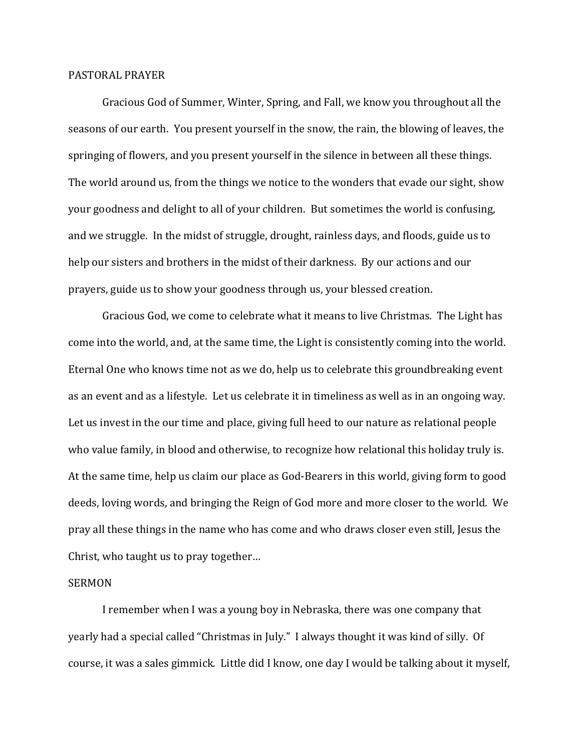## PASTORAL PRAYER

 Gracious God of Summer, Winter, Spring, and Fall, we know you throughout all the seasons of our earth. You present yourself in the snow, the rain, the blowing of leaves, the springing of flowers, and you present yourself in the silence in between all these things. The world around us, from the things we notice to the wonders that evade our sight, show your goodness and delight to all of your children. But sometimes the world is confusing, and we struggle. In the midst of struggle, drought, rainless days, and floods, guide us to help our sisters and brothers in the midst of their darkness. By our actions and our prayers, guide us to show your goodness through us, your blessed creation.

 Gracious God, we come to celebrate what it means to live Christmas. The Light has come into the world, and, at the same time, the Light is consistently coming into the world. Eternal One who knows time not as we do, help us to celebrate this groundbreaking event as an event and as a lifestyle. Let us celebrate it in timeliness as well as in an ongoing way. Let us invest in the our time and place, giving full heed to our nature as relational people who value family, in blood and otherwise, to recognize how relational this holiday truly is. At the same time, help us claim our place as God-Bearers in this world, giving form to good deeds, loving words, and bringing the Reign of God more and more closer to the world. We pray all these things in the name who has come and who draws closer even still, Jesus the Christ, who taught us to pray together…

## SERMON

 I remember when I was a young boy in Nebraska, there was one company that yearly had a special called "Christmas in July." I always thought it was kind of silly. Of course, it was a sales gimmick. Little did I know, one day I would be talking about it myself,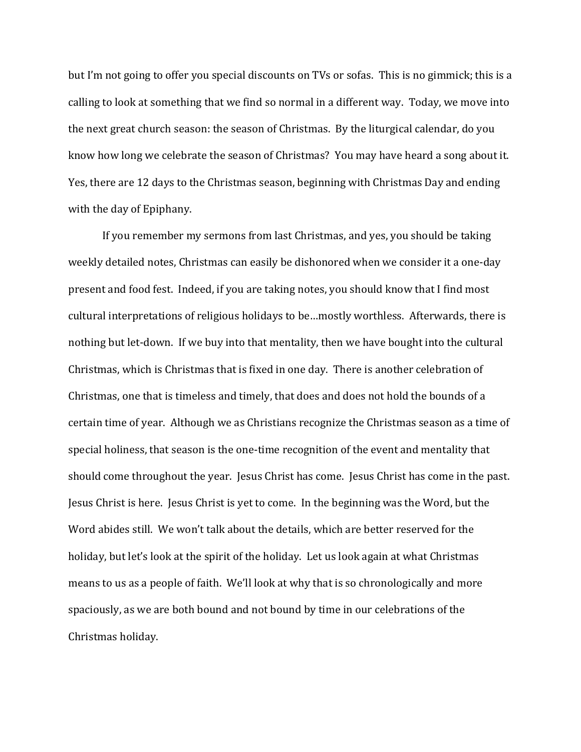but I'm not going to offer you special discounts on TVs or sofas. This is no gimmick; this is a calling to look at something that we find so normal in a different way. Today, we move into the next great church season: the season of Christmas. By the liturgical calendar, do you know how long we celebrate the season of Christmas? You may have heard a song about it. Yes, there are 12 days to the Christmas season, beginning with Christmas Day and ending with the day of Epiphany.

 If you remember my sermons from last Christmas, and yes, you should be taking weekly detailed notes, Christmas can easily be dishonored when we consider it a one-day present and food fest. Indeed, if you are taking notes, you should know that I find most cultural interpretations of religious holidays to be…mostly worthless. Afterwards, there is nothing but let-down. If we buy into that mentality, then we have bought into the cultural Christmas, which is Christmas that is fixed in one day. There is another celebration of Christmas, one that is timeless and timely, that does and does not hold the bounds of a certain time of year. Although we as Christians recognize the Christmas season as a time of special holiness, that season is the one-time recognition of the event and mentality that should come throughout the year. Jesus Christ has come. Jesus Christ has come in the past. Jesus Christ is here. Jesus Christ is yet to come. In the beginning was the Word, but the Word abides still. We won't talk about the details, which are better reserved for the holiday, but let's look at the spirit of the holiday. Let us look again at what Christmas means to us as a people of faith. We'll look at why that is so chronologically and more spaciously, as we are both bound and not bound by time in our celebrations of the Christmas holiday.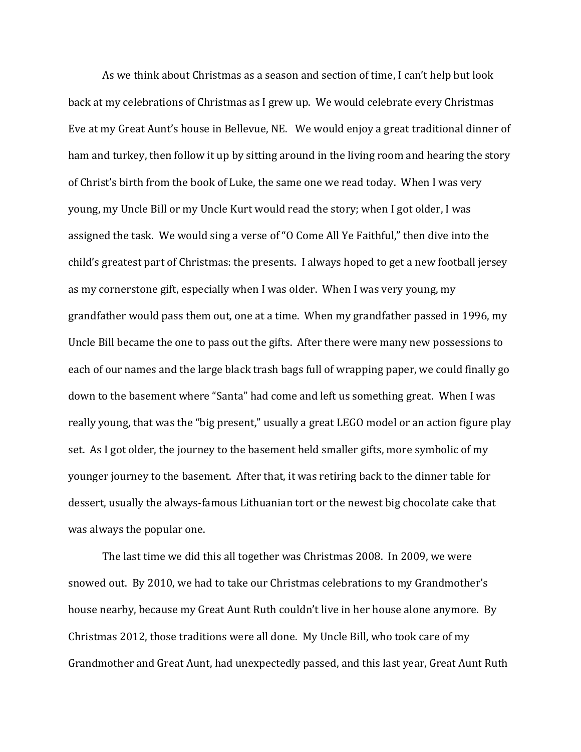As we think about Christmas as a season and section of time, I can't help but look back at my celebrations of Christmas as I grew up. We would celebrate every Christmas Eve at my Great Aunt's house in Bellevue, NE. We would enjoy a great traditional dinner of ham and turkey, then follow it up by sitting around in the living room and hearing the story of Christ's birth from the book of Luke, the same one we read today. When I was very young, my Uncle Bill or my Uncle Kurt would read the story; when I got older, I was assigned the task. We would sing a verse of "O Come All Ye Faithful," then dive into the child's greatest part of Christmas: the presents. I always hoped to get a new football jersey as my cornerstone gift, especially when I was older. When I was very young, my grandfather would pass them out, one at a time. When my grandfather passed in 1996, my Uncle Bill became the one to pass out the gifts. After there were many new possessions to each of our names and the large black trash bags full of wrapping paper, we could finally go down to the basement where "Santa" had come and left us something great. When I was really young, that was the "big present," usually a great LEGO model or an action figure play set. As I got older, the journey to the basement held smaller gifts, more symbolic of my younger journey to the basement. After that, it was retiring back to the dinner table for dessert, usually the always-famous Lithuanian tort or the newest big chocolate cake that was always the popular one.

The last time we did this all together was Christmas 2008. In 2009, we were snowed out. By 2010, we had to take our Christmas celebrations to my Grandmother's house nearby, because my Great Aunt Ruth couldn't live in her house alone anymore. By Christmas 2012, those traditions were all done. My Uncle Bill, who took care of my Grandmother and Great Aunt, had unexpectedly passed, and this last year, Great Aunt Ruth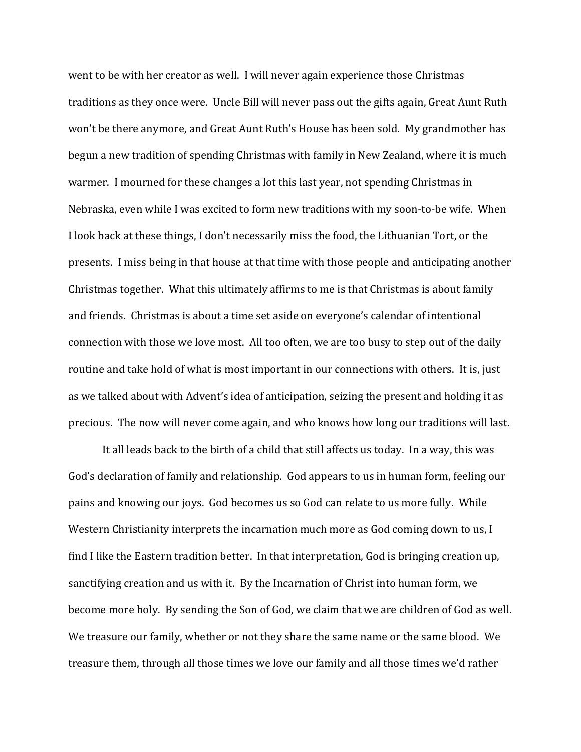went to be with her creator as well. I will never again experience those Christmas traditions as they once were. Uncle Bill will never pass out the gifts again, Great Aunt Ruth won't be there anymore, and Great Aunt Ruth's House has been sold. My grandmother has begun a new tradition of spending Christmas with family in New Zealand, where it is much warmer. I mourned for these changes a lot this last year, not spending Christmas in Nebraska, even while I was excited to form new traditions with my soon-to-be wife. When I look back at these things, I don't necessarily miss the food, the Lithuanian Tort, or the presents. I miss being in that house at that time with those people and anticipating another Christmas together. What this ultimately affirms to me is that Christmas is about family and friends. Christmas is about a time set aside on everyone's calendar of intentional connection with those we love most. All too often, we are too busy to step out of the daily routine and take hold of what is most important in our connections with others. It is, just as we talked about with Advent's idea of anticipation, seizing the present and holding it as precious. The now will never come again, and who knows how long our traditions will last.

It all leads back to the birth of a child that still affects us today. In a way, this was God's declaration of family and relationship. God appears to us in human form, feeling our pains and knowing our joys. God becomes us so God can relate to us more fully. While Western Christianity interprets the incarnation much more as God coming down to us, I find I like the Eastern tradition better. In that interpretation, God is bringing creation up, sanctifying creation and us with it. By the Incarnation of Christ into human form, we become more holy. By sending the Son of God, we claim that we are children of God as well. We treasure our family, whether or not they share the same name or the same blood. We treasure them, through all those times we love our family and all those times we'd rather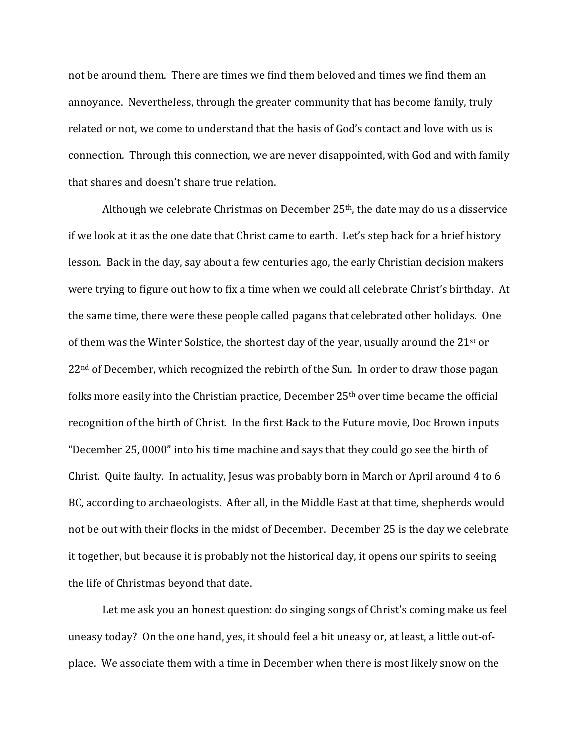not be around them. There are times we find them beloved and times we find them an annoyance. Nevertheless, through the greater community that has become family, truly related or not, we come to understand that the basis of God's contact and love with us is connection. Through this connection, we are never disappointed, with God and with family that shares and doesn't share true relation.

Although we celebrate Christmas on December 25th, the date may do us a disservice if we look at it as the one date that Christ came to earth. Let's step back for a brief history lesson. Back in the day, say about a few centuries ago, the early Christian decision makers were trying to figure out how to fix a time when we could all celebrate Christ's birthday. At the same time, there were these people called pagans that celebrated other holidays. One of them was the Winter Solstice, the shortest day of the year, usually around the 21st or 22<sup>nd</sup> of December, which recognized the rebirth of the Sun. In order to draw those pagan folks more easily into the Christian practice, December 25<sup>th</sup> over time became the official recognition of the birth of Christ. In the first Back to the Future movie, Doc Brown inputs "December 25, 0000" into his time machine and says that they could go see the birth of Christ. Quite faulty. In actuality, Jesus was probably born in March or April around 4 to 6 BC, according to archaeologists. After all, in the Middle East at that time, shepherds would not be out with their flocks in the midst of December. December 25 is the day we celebrate it together, but because it is probably not the historical day, it opens our spirits to seeing the life of Christmas beyond that date.

Let me ask you an honest question: do singing songs of Christ's coming make us feel uneasy today? On the one hand, yes, it should feel a bit uneasy or, at least, a little out-ofplace. We associate them with a time in December when there is most likely snow on the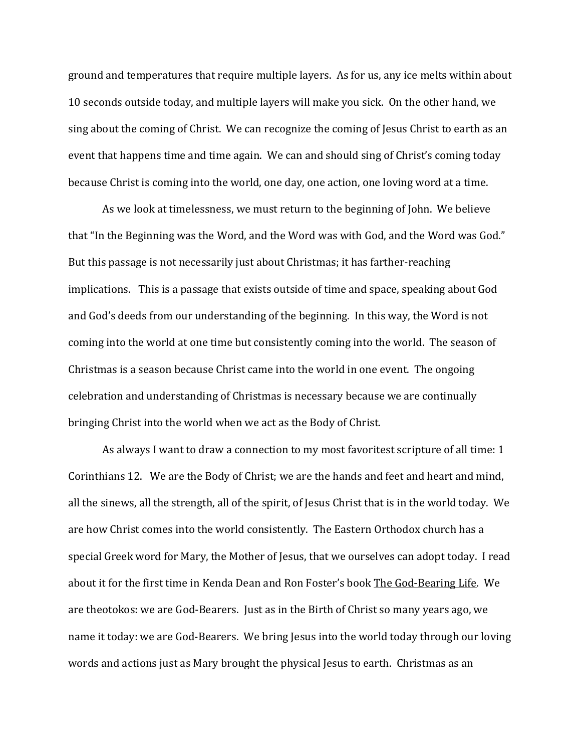ground and temperatures that require multiple layers. As for us, any ice melts within about 10 seconds outside today, and multiple layers will make you sick. On the other hand, we sing about the coming of Christ. We can recognize the coming of Jesus Christ to earth as an event that happens time and time again. We can and should sing of Christ's coming today because Christ is coming into the world, one day, one action, one loving word at a time.

As we look at timelessness, we must return to the beginning of John. We believe that "In the Beginning was the Word, and the Word was with God, and the Word was God." But this passage is not necessarily just about Christmas; it has farther-reaching implications. This is a passage that exists outside of time and space, speaking about God and God's deeds from our understanding of the beginning. In this way, the Word is not coming into the world at one time but consistently coming into the world. The season of Christmas is a season because Christ came into the world in one event. The ongoing celebration and understanding of Christmas is necessary because we are continually bringing Christ into the world when we act as the Body of Christ.

As always I want to draw a connection to my most favoritest scripture of all time: 1 Corinthians 12. We are the Body of Christ; we are the hands and feet and heart and mind, all the sinews, all the strength, all of the spirit, of Jesus Christ that is in the world today. We are how Christ comes into the world consistently. The Eastern Orthodox church has a special Greek word for Mary, the Mother of Jesus, that we ourselves can adopt today. I read about it for the first time in Kenda Dean and Ron Foster's book The God-Bearing Life. We are theotokos: we are God-Bearers. Just as in the Birth of Christ so many years ago, we name it today: we are God-Bearers. We bring Jesus into the world today through our loving words and actions just as Mary brought the physical Jesus to earth. Christmas as an